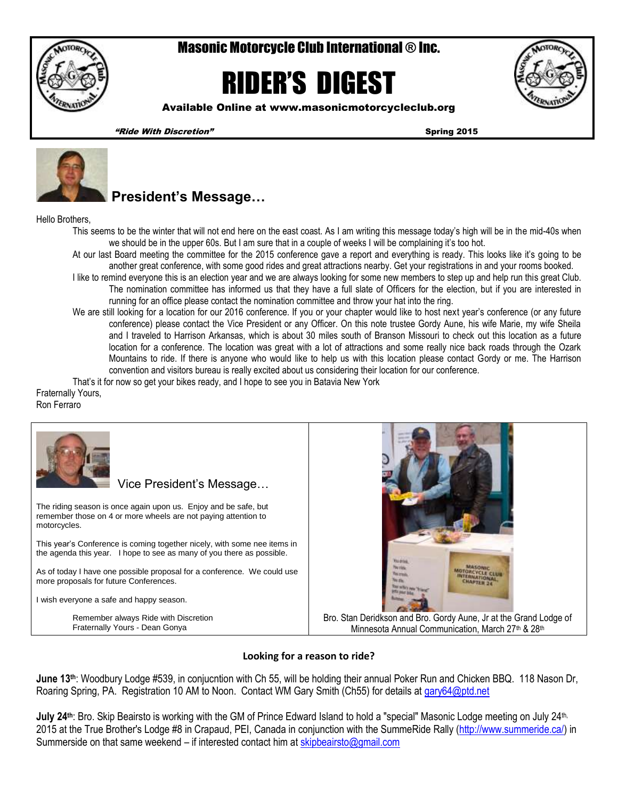

# Masonic Motorcycle Club International ® Inc.

# RIDER'S DIGEST



Available Online at www.masonicmotorcycleclub.org

"Ride With Discretion" Spring 2015



## **President's Message…**

Hello Brothers,

- This seems to be the winter that will not end here on the east coast. As I am writing this message today's high will be in the mid-40s when we should be in the upper 60s. But I am sure that in a couple of weeks I will be complaining it's too hot.
- At our last Board meeting the committee for the 2015 conference gave a report and everything is ready. This looks like it's going to be another great conference, with some good rides and great attractions nearby. Get your registrations in and your rooms booked.
	- I like to remind everyone this is an election year and we are always looking for some new members to step up and help run this great Club. The nomination committee has informed us that they have a full slate of Officers for the election, but if you are interested in running for an office please contact the nomination committee and throw your hat into the ring.
	- We are still looking for a location for our 2016 conference. If you or your chapter would like to host next year's conference (or any future conference) please contact the Vice President or any Officer. On this note trustee Gordy Aune, his wife Marie, my wife Sheila and I traveled to Harrison Arkansas, which is about 30 miles south of Branson Missouri to check out this location as a future location for a conference. The location was great with a lot of attractions and some really nice back roads through the Ozark Mountains to ride. If there is anyone who would like to help us with this location please contact Gordy or me. The Harrison convention and visitors bureau is really excited about us considering their location for our conference.

That's it for now so get your bikes ready, and I hope to see you in Batavia New York

Fraternally Yours,

Ron Ferraro



#### **Looking for a reason to ride?**

**June 13th**: Woodbury Lodge #539, in conjucntion with Ch 55, will be holding their annual Poker Run and Chicken BBQ. 118 Nason Dr, Roaring Spring, PA. Registration 10 AM to Noon. Contact WM Gary Smith (Ch55) for details at [gary64@ptd.net](mailto:gary64@ptd.net)

**July 24<sup>th</sup>:** Bro. Skip Beairsto is working with the GM of Prince Edward Island to hold a "special" Masonic Lodge meeting on July 24<sup>th,</sup> 2015 at the True Brother's Lodge #8 in Crapaud, PEI, Canada in conjunction with the SummeRide Rally [\(http://www.summeride.ca/\)](http://www.summeride.ca/) in Summerside on that same weekend – if interested contact him at [skipbeairsto@gmail.com](mailto:skipbeairsto@gmail.com)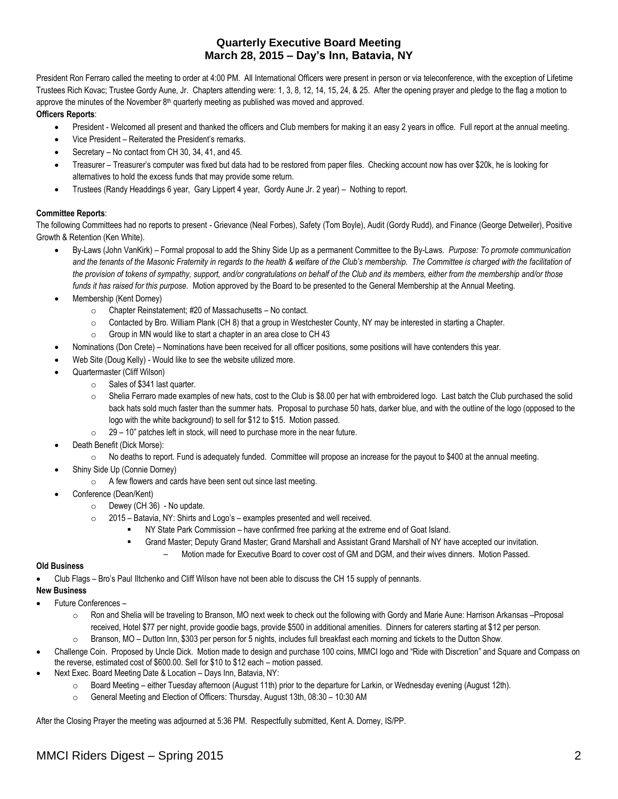### **Quarterly Executive Board Meeting March 28, 2015 – Day's Inn, Batavia, NY**

President Ron Ferraro called the meeting to order at 4:00 PM. All International Officers were present in person or via teleconference, with the exception of Lifetime Trustees Rich Kovac; Trustee Gordy Aune, Jr. Chapters attending were: 1, 3, 8, 12, 14, 15, 24, & 25. After the opening prayer and pledge to the flag a motion to approve the minutes of the November  $8<sup>th</sup>$  quarterly meeting as published was moved and approved.

#### **Officers Reports**:

- President Welcomed all present and thanked the officers and Club members for making it an easy 2 years in office. Full report at the annual meeting.
- Vice President Reiterated the President's remarks.
- Secretary No contact from CH 30, 34, 41, and 45.
- Treasurer Treasurer's computer was fixed but data had to be restored from paper files. Checking account now has over \$20k, he is looking for alternatives to hold the excess funds that may provide some return.
- Trustees (Randy Headdings 6 year, Gary Lippert 4 year, Gordy Aune Jr. 2 year) Nothing to report.

#### **Committee Reports**:

The following Committees had no reports to present - Grievance (Neal Forbes), Safety (Tom Boyle), Audit (Gordy Rudd), and Finance (George Detweiler), Positive Growth & Retention (Ken White).

- By-Laws (John VanKirk) Formal proposal to add the Shiny Side Up as a permanent Committee to the By-Laws. *Purpose: To promote communication and the tenants of the Masonic Fraternity in regards to the health & welfare of the Club's membership. The Committee is charged with the facilitation of the provision of tokens of sympathy, support, and/or congratulations on behalf of the Club and its members, either from the membership and/or those funds it has raised for this purpose.* Motion approved by the Board to be presented to the General Membership at the Annual Meeting.
- Membership (Kent Dorney)
	- o Chapter Reinstatement; #20 of Massachusetts No contact.
	- $\circ$  Contacted by Bro. William Plank (CH 8) that a group in Westchester County, NY may be interested in starting a Chapter.
	- o Group in MN would like to start a chapter in an area close to CH 43
- Nominations (Don Crete) Nominations have been received for all officer positions, some positions will have contenders this year.
- Web Site (Doug Kelly) Would like to see the website utilized more.
- Quartermaster (Cliff Wilson)
	- o Sales of \$341 last quarter.
	- o Shelia Ferraro made examples of new hats, cost to the Club is \$8.00 per hat with embroidered logo. Last batch the Club purchased the solid back hats sold much faster than the summer hats. Proposal to purchase 50 hats, darker blue, and with the outline of the logo (opposed to the logo with the white background) to sell for \$12 to \$15. Motion passed.
	- $\degree$  29 10" patches left in stock, will need to purchase more in the near future.
- Death Benefit (Dick Morse):
	- $\circ$  No deaths to report. Fund is adequately funded. Committee will propose an increase for the payout to \$400 at the annual meeting.
- Shiny Side Up (Connie Dorney)
	- o A few flowers and cards have been sent out since last meeting.
- Conference (Dean/Kent)
	- o Dewey (CH 36) No update.
	- o 2015 Batavia, NY: Shirts and Logo's examples presented and well received.
		- NY State Park Commission have confirmed free parking at the extreme end of Goat Island.
			- Grand Master; Deputy Grand Master; Grand Marshall and Assistant Grand Marshall of NY have accepted our invitation.
				- Motion made for Executive Board to cover cost of GM and DGM, and their wives dinners. Motion Passed.

#### **Old Business**

Club Flags – Bro's Paul Iltchenko and Cliff Wilson have not been able to discuss the CH 15 supply of pennants.

#### **New Business**

- Future Conferences
	- o Ron and Shelia will be traveling to Branson, MO next week to check out the following with Gordy and Marie Aune: Harrison Arkansas –Proposal received, Hotel \$77 per night, provide goodie bags, provide \$500 in additional amenities. Dinners for caterers starting at \$12 per person.
	- o Branson, MO Dutton Inn, \$303 per person for 5 nights, includes full breakfast each morning and tickets to the Dutton Show.
- Challenge Coin. Proposed by Uncle Dick. Motion made to design and purchase 100 coins, MMCI logo and "Ride with Discretion" and Square and Compass on the reverse, estimated cost of \$600.00. Sell for \$10 to \$12 each – motion passed.
- Next Exec. Board Meeting Date & Location Days Inn, Batavia, NY:
	- o Board Meeting either Tuesday afternoon (August 11th) prior to the departure for Larkin, or Wednesday evening (August 12th).
	- o General Meeting and Election of Officers: Thursday, August 13th, 08:30 10:30 AM

After the Closing Prayer the meeting was adjourned at 5:36 PM. Respectfully submitted, Kent A. Dorney, IS/PP.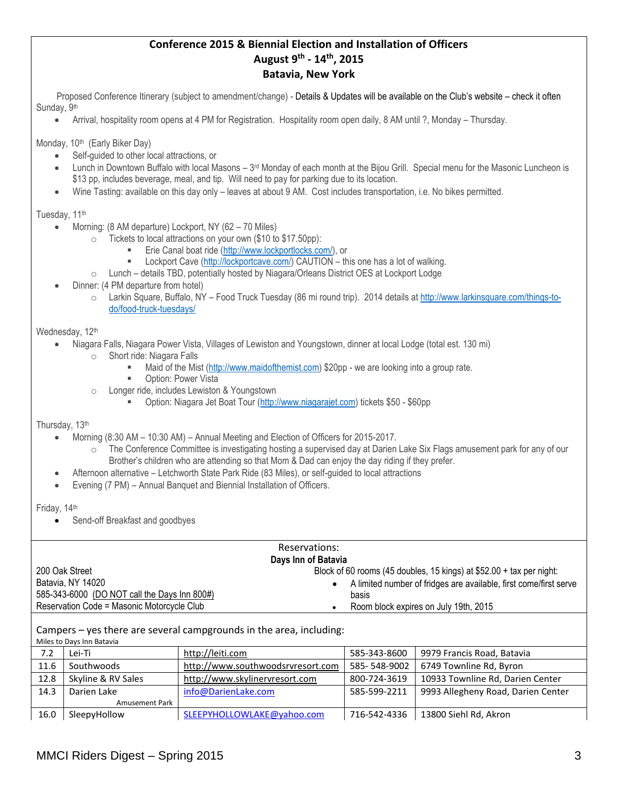### **Conference 2015 & Biennial Election and Installation of Officers August 9th - 14th, 2015 Batavia, New York**

Proposed Conference Itinerary (subject to amendment/change) - Details & Updates will be available on the Club's website – check it often Sunday, 9<sup>th</sup>

Arrival, hospitality room opens at 4 PM for Registration. Hospitality room open daily, 8 AM until ?, Monday – Thursday.

Monday, 10<sup>th</sup> (Early Biker Day)

- Self-guided to other local attractions, or
- $\bullet$  Lunch in Downtown Buffalo with local Masons  $3<sup>rd</sup>$  Monday of each month at the Bijou Grill. Special menu for the Masonic Luncheon is \$13 pp, includes beverage, meal, and tip. Will need to pay for parking due to its location.
- Wine Tasting: available on this day only leaves at about 9 AM. Cost includes transportation, i.e. No bikes permitted.

Tuesday, 11<sup>th</sup>

- Morning: (8 AM departure) Lockport, NY (62 70 Miles)
	- o Tickets to local attractions on your own (\$10 to \$17.50pp):
		- Erie Canal boat ride [\(http://www.lockportlocks.com/\)](http://www.lockportlocks.com/), or
		- **EXECT** Lockport Cave [\(http://lockportcave.com/\)](http://lockportcave.com/) CAUTION this one has a lot of walking.
	- o Lunch details TBD, potentially hosted by Niagara/Orleans District OES at Lockport Lodge
- Dinner: (4 PM departure from hotel)
	- o Larkin Square, Buffalo, NY Food Truck Tuesday (86 mi round trip). 2014 details a[t http://www.larkinsquare.com/things-to](http://www.larkinsquare.com/things-to-do/food-truck-tuesdays/)[do/food-truck-tuesdays/](http://www.larkinsquare.com/things-to-do/food-truck-tuesdays/)

#### Wednesday, 12th

- Niagara Falls, Niagara Power Vista, Villages of Lewiston and Youngstown, dinner at local Lodge (total est. 130 mi)
	- o Short ride: Niagara Falls
		- Maid of the Mist [\(http://www.maidofthemist.com\)](http://www.maidofthemist.com/) \$20pp we are looking into a group rate.
		- **D** Option: Power Vista
	- Longer ride, includes Lewiston & Youngstown
		- Option: Niagara Jet Boat Tour [\(http://www.niagarajet.com\)](http://www.niagarajet.com/) tickets \$50 \$60pp

Thursday, 13th

- Morning (8:30 AM 10:30 AM) Annual Meeting and Election of Officers for 2015-2017.
	- o The Conference Committee is investigating hosting a supervised day at Darien Lake Six Flags amusement park for any of our Brother's children who are attending so that Mom & Dad can enjoy the day riding if they prefer.
- Afternoon alternative Letchworth State Park Ride (83 Miles), or self-guided to local attractions
- Evening (7 PM) Annual Banquet and Biennial Installation of Officers.

Friday, 14th

Send-off Breakfast and goodbyes

| Reservations:                                                       |                                                                                |  |  |  |  |  |
|---------------------------------------------------------------------|--------------------------------------------------------------------------------|--|--|--|--|--|
| Days Inn of Batavia                                                 |                                                                                |  |  |  |  |  |
| 200 Oak Street                                                      | Block of 60 rooms (45 doubles, 15 kings) at $$52.00 + tax$ per night:          |  |  |  |  |  |
| Batavia, NY 14020                                                   | A limited number of fridges are available, first come/first serve<br>$\bullet$ |  |  |  |  |  |
| 585-343-6000 (DO NOT call the Days Inn 800#)                        | basis                                                                          |  |  |  |  |  |
| Reservation Code = Masonic Motorcycle Club                          | Room block expires on July 19th, 2015                                          |  |  |  |  |  |
|                                                                     |                                                                                |  |  |  |  |  |
| Campers – yes there are several campgrounds in the area, including: |                                                                                |  |  |  |  |  |

Miles to Days Inn Batavia  $\frac{1}{2}$  [http://leiti.com](http://leiti.com/) 585-343-8600 9979 Francis Road, Batavia

| $\overline{1}$ . $\overline{2}$ | <b>LEP 11</b>         | $H(U,1)$ igiti.com                | ַטטטט־נ⊬נ־נטנ | <i>3313</i> Traficis Road, Batavia |
|---------------------------------|-----------------------|-----------------------------------|---------------|------------------------------------|
| 11.6                            | Southwoods            | http://www.southwoodsrvresort.com | 585-548-9002  | 6749 Townline Rd, Byron            |
| 12.8                            | Skyline & RV Sales    | http://www.skylinervresort.com    | 800-724-3619  | 10933 Townline Rd, Darien Center   |
| 14.3                            | Darien Lake           | info@DarienLake.com               | 585-599-2211  | 9993 Allegheny Road, Darien Center |
|                                 | <b>Amusement Park</b> |                                   |               |                                    |
| 16.0                            | SleepyHollow          | SLEEPYHOLLOWLAKE@yahoo.com        | 716-542-4336  | 13800 Siehl Rd, Akron              |